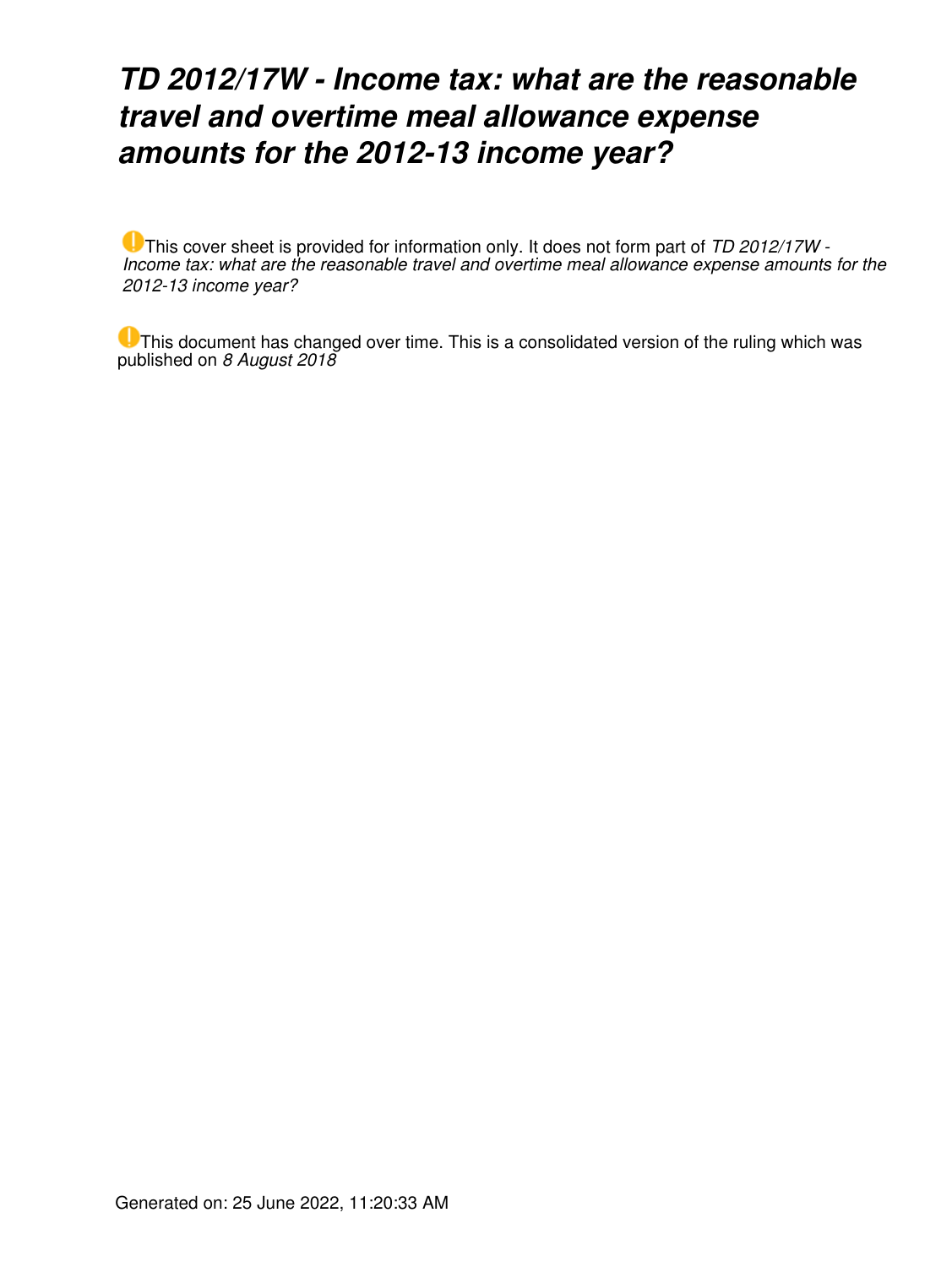## *TD 2012/17W - Income tax: what are the reasonable travel and overtime meal allowance expense amounts for the 2012-13 income year?*

This cover sheet is provided for information only. It does not form part of *TD 2012/17W - Income tax: what are the reasonable travel and overtime meal allowance expense amounts for the 2012-13 income year?*

This document has changed over time. This is a consolidated version of the ruling which was published on *8 August 2018*